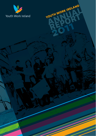

**ANDRK IRELAND** 

YOUTH WORK IRELAND

**L**

**REPORT**

**2011**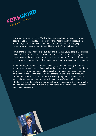

2011 was a busy year for Youth Work Ireland as we continue to respond to young people's lives across the four corners of Ireland. Despite the huge pressure on volunteers, workers and local communities brought about by the on-going recession we still see the best of Ireland in the work of our local services.

However the message needs to go out loud and clear that young people are bearing too much of the brunt of a crisis they did not create. Whether it is chronic youth unemployment, the slash and burn approach to the funding of youth services or the on-going crisis in our mental health service this is the year to say enough is enough.

Sometimes organisations can be accused of saying "not in my back yard" but for voluntary youth services there is no back yard anymore. Cuts to this area have been far in access of other budgets. Similarly social welfare payments to young people have been cut and the few entry level jobs that are available are now at reduced salaries and terms and conditions. There are clearly segments of society that did very well from the Celtic tiger and are still relatively unaffected by its collapse, whether these are the offshore Irish who visit for race meetings or the super wealthy who pay very small amounts of tax. It is clearly time for the burden of our economic woes to fall elsewhere.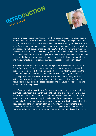



Clearly our economic circumstances form the greatest challenge for young people in the immediate future. The economic crisis reaches all age groups; it affects the choices made in school, in the family and in all aspects of young people's lives. We know from our work around the country that local communities and youth services are responding well despite these trying times. Youth Work is now more important than ever. It is a critical response when youth unemployment is high and education and training are limited. Time and again we know that when it comes to that terrible decision whether to stay or leave this country those involved with youth projects and youth work often opt to stay as they see the great potential in this country.

We welcome work on a new Children's Strategy and the development of a Youth Policy Framework. As with the development of quality standards for the youth sector we will embrace a greater emphasis on outcomes which will enhance the understanding of the huge social and economic value of local youth services led by local people. Some values must remain at the heart of this policy work such as the voluntary participation of young people, the focus on development and active citizenship, a strengths based approach and the value of relationships and critical adults in the process.

Youth Work Ireland works with over 80,000 young people, nearly 1,000 staff and over 7,000 volunteers annually through 450 clubs and projects in all parts of the country with spin off benefits for local communities and economies. Youth Work Ireland's aim is to change society for the benefit of young people and the wider community. This new and innovative reporting format provides but a sample of the activities around the four corners of Ireland, we know from our work there is so much more to see. However we hope that these snapshots inform people of the tremendous benefits that youth work provides for our communities and our country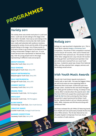

## **Variety 2011**

The variety show area events took place in Louth and Clare. Louth saw 28 acts taking to the stage in the Town Hall in Dundalk. Clare saw 32 acts taking to the stage in the Kilfenora Community Hall. Both events were really well attended with audience members enjoying the variety of acts and the skills of the young people taking to the stage. Out of these events 18 Acts were chosen to go forward to the National Final in Mary Immaculate College in April 2011. 8 Local Youth Services were represented on National Final day. Over 80 young people took to the stage representing 18 different clubs and projects.

**GROUP SINGING** Waterville Youth Club, Kerry DYS

**SOLO SINGING** Ballylongford Youth Club, Kerry DYS

**GROUP INSTRUMENTAL** Ballydonoghue Youth Club, Kerry DYS

**SOLO INSTRUMENTAL** Glengarriff Youth Club, Kerry DYS

**COMEDY SKETCH** Causeway Youth Club, Kerry DYS

**DRAMA PIECE** Doohamlet Youth Club, YWI Monaghan

**SPOTLIGHT** Doohamlet Youth Club, YWI Monaghan

**SLOW DANCE** Sixmilebridge Youth Club, Clare Youth Service

**CREATIVE DANCE** Cockhill Youth Club, Donegal Youth Service

**BANNER COMPETITION** Causeway Youth Club, Kerry DYS

# **Nollaig 2011**

Nollaig 2011 was launched in September 2011. This is Youth Work Irelands Design a Christmas Card competition. The winner of this competition received a €100 *One for All* voucher, their card is framed and reprinted for their personal use. The winners of each of the other categories win a €50 *One for All* voucher and they get their card framed and reprinted. Over 360 entries were received from our Local Youth Services. A selection panel was chosen from National Office and they selected their category winners and the Nollaig overall winner.

### **Irish Youth Music Awards**

The 5th Irish Youth Music Awards took place in Liberty Hall on April 28th. This was the biggest IYMAs yet and local areas are now organising heats to determine their local team. Guests this year were Daragh Cullen, Outside the Box and David Managan who really got the audience moving. As always it was a tense affair to decide where the awards went. **Exit Fire** from CDYS Cork scoped the overall award with **Truth for Me** from Derry winning the Paul Clancy song writer's award sponsored by Kildare Youth Service. Special thanks to all our industry partners IMRO, IRMA, Hotpress and EMI Records along with CDYSB and YANI.

Hot Press reviewed the 4th IYMAs CD featuring bands form Meath and Cork particularly Outside the Box the 2010 IYMAs winners. The CD also featured as one of Jackie Hayden's (Hotpress) *First Cuts* choice on a number of radio stations.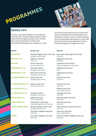



#### **Games 2011**

The soccer area events of games 2011 took place in Louth and Clare. The Clare event took place in Clare Leisure World, Showgrounds Road, Ennis, Co Clare. The Louth event took place in Leisure Park, Rathmullen Road/Marleys Lane ,Drogheda, Co Louth. From both of these events the soccer entries were chosen to go forward to the national finals in the University of Limerick in June. On national final day over 250 young people representing 10 Local Youth Services took to the courts taking part is various events including chess, draughts, soccer etc.

| <b>EVENT</b>              | <b>Runner Up</b>                                                    | <b>Winner</b>                                                       |
|---------------------------|---------------------------------------------------------------------|---------------------------------------------------------------------|
| <b>DRAUGHTS</b>           | Michael Heraghty, Fanad Youth Club<br>Donegal Youth Service         | Ryan Henry, Ballylongford Youth Club<br><b>Kerry DYS</b>            |
| <b>UNI HOC U.18</b>       | Kilgarvin Youth Club<br><b>Kerry DYS</b>                            | Ballygarrett Youth Club<br><b>FDYS YWI</b>                          |
| <b>HIP HOP</b>            | Kilrush Youth Club<br><b>Clare Youth Service</b>                    | Templemore Youth Project<br><b>Tipperary Regional Youth Service</b> |
| <b>BASKETBALL U.15</b>    | Club Oige Criost Ri<br>Donegal Youth Service                        | Castleisland Youth Club<br><b>KDYS</b>                              |
| <b>BASKETBALL U.18</b>    | Malin Head Youth Club<br>Donegal Youth Service                      | Castleisland Youth Club<br><b>KDYS</b>                              |
| 5 A SIDE FEMALE U.15      | Fanad Youth Club<br>Donegal Youth Service                           | Clonard Youth Club<br><b>FDYS YWI</b>                               |
| 5 A SIDE FEMALE U.18      | Kilfenora Youth Club<br><b>Clare Youth Service</b>                  | Clonard Youth Club<br><b>FDYS YWI</b>                               |
| <b>5 A SIDE MALE U.15</b> |                                                                     | Kilfenora Youth Club<br><b>Clare Youth Service</b>                  |
| 5 A SIDE MALE U.18        | Club Oige Criost Ri<br>Donegal Youth Service                        | Crossbeg Youth Club<br><b>FDYS YWI</b>                              |
| <b>TABLE QUIZ U.15</b>    | Kilhihil Youth Club<br><b>Clare Youth Service</b>                   | Miltown/Lixnaw Youth Club<br><b>Kerry DYS</b>                       |
| <b>TABLE QUIZ U.18</b>    | Templemore Youth Project<br><b>Tipperary Regional Youth Service</b> | Kenmare Youth Club<br><b>Kerry DYS</b>                              |
| <b>TABLE TENNIS MALE</b>  | Michael Dullergan, Planet Youth<br>Donegal Youth Service            | Conor McGuire, Clonard Youth Club<br><b>FDYS YWI</b>                |
|                           | Tony White, Oylegate Youth Club<br><b>FDYS YWI</b>                  | Ciaran Faul, Buzz Stop<br><b>Clare Youth Service</b>                |
| <b>CHESS</b>              | Eoin Larkin, Oylegate Youth Club<br><b>FDYS YWI</b>                 | Katie Anne Neville, Oylegate Youth Club<br><b>FDYS YWI</b>          |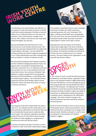

Contributing to the overall debate and reflection on the system of Youth Information provision in Ireland Youth Work Ireland developed Trial Sites to test and reflect on our model and practice in this area. Five members, Clare Youth Services, Donegal Youth Service, FDYs, Kildare Youth Service and Youth Work Ireland Monaghan, all took part.

We have facilitated work with BeLonGTo Youth Service and our local member youth services. This product has also been delivered with very high levels of participation nationally. A very successful HR training workshop was held for regional management in 2011. Board development and other trainings have been provided to a number of member services.

We have further facilitated work between members and the TCD/NUIG Changing Generations Study. Our regular suite of workshops including Measuring Outcomes continued in 2011. An extensive road show was carried out in 2011 on the activities of the Irish Youth Work Centre. We continue to facilitate 'Teen Between' a support programme for young people affected by marital breakdown, in partnership with the Family Support Agency. Irish Youth Work Scene (quarterly) and the Youth Studies Ireland Journal continue to inform the youth work sector on issues of practice and theory. **YOUTHAD WORK** 

> The inaugural Youth Work Ireland Week was held in April 2012. The initiative was the centre piece of our 50th anniversary celebrations as we felt the best way to commemorate the past was to celebrate what we are today. This collective celebration and showcasing of the work of Youth Work Ireland involved all members locally engaging in a programme of activities and some key national events.

**IRELAND WEEK**

A variety of activities took place in the four corners of Ireland to make Youth Work Ireland Week ranging



Nationally the work and impact of Youth Work Ireland was brought right to the heart of decision making with an Oireachtas Briefing which engaged the majority of Oireachtas members and almost all of those from the constituencies of our member services. The event really put the organisation on the map with key decision makers.



In 2011 Voices of Youth, a youth led advocacy group facilitated by Youth Work Ireland, organised a major event on the potential Children's Rights Referendum. This was motivated by a concern amongst the group that young people were not specifically informed or aware of this proposal. The daylong event involved workshops on some key scenarios devised by people working in the field of children's rights and called on Government to deliberately include young people in whatever plans it developed for the referendum campaign. The event received coverage in the national media and was well received by children's and youth groups.

Voices of Youth continued to work on issues such as The Mosquito Device, schools and education, School uniforms and others receiving much coverage in the national media. Members took part in a visit to Aras an Uachtarán on the invitation of President Michael D. Higgins.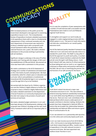With increased pressure on the public purse the Government developed a new approach to examining expenditure issues in 2011. The Comprehensive Review of Expenditure involved a detailed examination of all expenditure items with a view to a fundamental reassessment of their continued necessity and role. Each Department of Government was required to produce a detailed report with a proposed multiannual framework within the parameters of the national finances over 3 years. We made a detailed submission to this process working in partnership with all members.

**& ADVOCACY**

Significant change is underway in the area of Further Education and Training with the merger of VECs and the establishment of ETBs and SOLAS. We ensured our voice was heard with a submission to this process.

We made a submission to the DCYA Statement of Strategy and a number of submissions and statements on the crisis levels of youth unemployment. We have consistently called for a faster pace on education and curricular reform and published a Constitutional Amendment Bill (Presidential Age) in 2011 proposing to end the age limit of 35 to be President.

We worked with the Stand Up for Children organisation and the Children's Rights Alliance to further the proposal to have a Children's Rights Referendum and we made a detailed submission to the Department of Social Protection on Community Employment and the vital role it plays in the provision of youth work services at local level.

We made a detailed budget submission in 2011 and have kept abreast of all developments relating to the proposed new Children's Strategy and the new Youth Policy Framework which will be an important pillar in this.

**COMMUNICATIONS QUALIT** 

2011/12 saw the completion of peer assessments with a number of Youth Services with a successful outcome. Presentations were made to Cork and Midlands regional Youth Service.

To strengthen and support our work locally we engaged in a wide ranging testing process with the SPEAK system in 2011. The work on Youth Information trial sites also contributed to our overall quality assurance work.

The DCYAs National Quality Standard Framework was rolled out in 2011 and some work was also done on a standard for youth clubs. The NQSF is a key pillar in the DCYAs approach to youth work policy. A number of Youth Work Ireland members undertook the NQSF and all come through it with flying colours. Youth Work Ireland's QSF was cited as of critical assistance by those taking part and our work or our organisation continues to shape policy and practice nationally in this field. We are now re-examining the precise role and function of our QSF process for the future. ENANCE

FINANCE

Youth Work Ireland introduced a major new Governance structure in 2011. This new scheme is aimed at ensuring maximum membership involvement in our work while ensuring efficiency in everything that we do. There are now 7 sub-committees of the National Board which ensure a wide spectrum of people contribute to decision making. Similarly link people have been designated in National Office to ensure that we broaden the relationships between membership and National Office and ensure a good flow of communication for all.

In 2011 we entered in to a partnership with SpunOut. ie to link online and community based youth work.

In 2011 our main income source from DCYA fell by 7.16%. IYJS Income is now being distributed via Youth Work Ireland National Office. Careful control of expenditure in line with reduced incomes in ensured at all times. We have appointed new auditors Grant Thornton in 2011.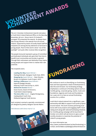**volunteer ACHIEVEMENT AWARDS** 

The 2011 Volunteer Achievement Awards took place at Youth Work Ireland National Office on the Saturday November 5th 2011. Simon Harris TD (Ireland's youngest TD) presented the awards. As always there was strong interest in the awards from all around Ireland. Supported by teams of locally based staff the recipients are among the key deliverers of services to young people. Much of this work is done "out of the spotlight" and quite often receives little recognition.

The people honoured represent a group of committed and dedicated individuals who give their free time to benefit local communities and society in general. Through their enthusiasm and dedication they inspire young people and support them to realise their own potential.

The recipients were;

- **• Leading the Way** Award Winner Padraig McGrath, Daingean Youth Club, MRYS
- **• Stepping Up** Award Winner Peter Murphy, Bruach na Habhainn Youth Project, KDYS
- **• Making a Difference** Award Winner Gearoid (Gadge) Murphy, Killarney Youth Club & Drop-in, KDYS
- **• Behind the Scenes** Winner Karen Dunne, Board of Directors, Youth Work Ireland Galway
- **• The Extra Mile** Award Angela Montgomery, Castlepollard Youth Club, Midlands Regional Youth Service

Each recipient received a specially commissioned pin designed by jewelry designer Garrett Mallon.

VAA Winners with Simon Harris T.D.





We continue to work on diversifying our fundraising base and have appointed a Head of Development to take this work forward. Our fundraising strategy emphasises a continuum of funding options such as monthly giving, corporate giving, events, trusts and foundations, legacies and trusts and foundations. Our 5 year aim is to have an annual fundraising income of €1.5 million.

Youth Work Ireland entered into a significant 3 year partnership with B&Q to support local youth projects around Ireland. This work involves partnering local stores with local projects and engaging staff in fundraising work along with national fundraising initiatives. Our monthly giving campaign will be launched in October 2012 which will ask donors to give a small monthly donation to maximise the potential of Ireland's young people.

#### For more information see

http://www.youthworkireland.ie/site/fundraising/ or contact Jennie Blake at jblake@youthworkireland.ie.